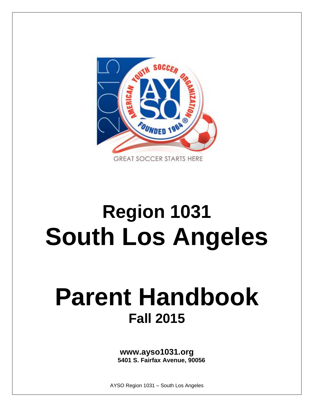

# **Region 1031 South Los Angeles**

# **Parent Handbook Fall 2015**

**www.ayso1031.org 5401 S. Fairfax Avenue, 90056**

AYSO Region 1031 – South Los Angeles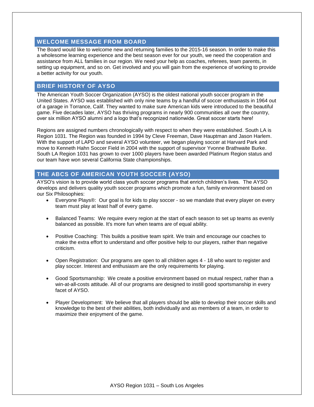### **WELCOME MESSAGE FROM BOARD**

The Board would like to welcome new and returning families to the 2015-16 season. In order to make this a wholesome learning experience and the best season ever for our youth, we need the cooperation and assistance from ALL families in our region. We need your help as coaches, referees, team parents, in setting up equipment, and so on. Get involved and you will gain from the experience of working to provide a better activity for our youth.

# **BRIEF HISTORY OF AYSO**

The American Youth Soccer Organization (AYSO) is the oldest national youth soccer program in the United States. AYSO was established with only nine teams by a handful of soccer enthusiasts in 1964 out of a garage in Torrance, Calif. They wanted to make sure American kids were introduced to the beautiful game. Five decades later, AYSO has thriving programs in nearly 900 communities all over the country, over six million AYSO alumni and a logo that's recognized nationwide. Great soccer starts here!

Regions are assigned numbers chronologically with respect to when they were established. South LA is Region 1031. The Region was founded in 1994 by Cleve Freeman, Dave Hauptman and Jason Harlem. With the support of LAPD and several AYSO volunteer, we began playing soccer at Harvard Park and move to Kenneth Hahn Soccer Field in 2004 with the support of supervisor Yvonne Brathwaite Burke. South LA Region 1031 has grown to over 1000 players have been awarded Platinum Region status and our team have won several California State championships.

# **THE ABCS OF AMERICAN YOUTH SOCCER (AYSO)**

AYSO's vision is to provide world class youth soccer programs that enrich children's lives. The AYSO develops and delivers quality youth soccer programs which promote a fun, family environment based on our Six Philosophies:

- Everyone Plays®: Our goal is for kids to play soccer so we mandate that every player on every team must play at least half of every game.
- Balanced Teams: We require every region at the start of each season to set up teams as evenly balanced as possible. It's more fun when teams are of equal ability.
- Positive Coaching: This builds a positive team spirit. We train and encourage our coaches to make the extra effort to understand and offer positive help to our players, rather than negative criticism.
- Open Registration: Our programs are open to all children ages 4 18 who want to register and play soccer. Interest and enthusiasm are the only requirements for playing.
- Good Sportsmanship: We create a positive environment based on mutual respect, rather than a win-at-all-costs attitude. All of our programs are designed to instill good sportsmanship in every facet of AYSO.
- Player Development: We believe that all players should be able to develop their soccer skills and knowledge to the best of their abilities, both individually and as members of a team, in order to maximize their enjoyment of the game.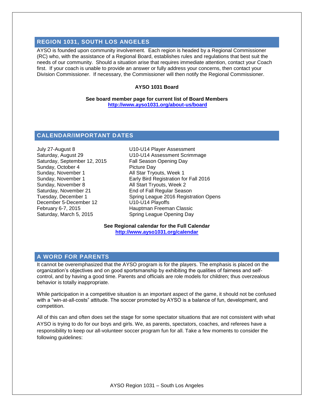# **REGION 1031, SOUTH LOS ANGELES**

AYSO is founded upon community involvement. Each region is headed by a Regional Commissioner (RC) who, with the assistance of a Regional Board, establishes rules and regulations that best suit the needs of our community. Should a situation arise that requires immediate attention, contact your Coach first. If your coach is unable to provide an answer or fully address your concerns, then contact your Division Commissioner. If necessary, the Commissioner will then notify the Regional Commissioner.

#### **AYSO 1031 Board**

**See board member page for current list of Board Members <http://www.ayso1031.org/about-us/board>**

#### **CALENDAR/IMPORTANT DATES**

July 27-August 8 U10-U14 Player Assessment Saturday, September 12, 2015 Fall Season Opening Day Sunday, October 4 Picture Day Sunday, November 1 All Star Tryouts, Week 1 Saturday, November 21 End of Fall Regular Season December 5-December 12 U10-U14 Playoffs February 6-7, 2015 Hauptman Freeman Classic Saturday, March 5, 2015 Spring League Opening Day

Saturday, August 29 U10-U14 Assessment Scrimmage Sunday, November 1 **Early Bird Registration for Fall 2016**<br>Sunday, November 8 **Early Poly 2018** All Start Tryouts, Week 2 All Start Tryouts, Week 2 Tuesday, December 1 Spring League 2016 Registration Opens

> **See Regional calendar for the Full Calendar <http://www.ayso1031.org/calendar>**

#### **A WORD FOR PARENTS**

It cannot be overemphasized that the AYSO program is for the players. The emphasis is placed on the organization's objectives and on good sportsmanship by exhibiting the qualities of fairness and selfcontrol, and by having a good time. Parents and officials are role models for children; thus overzealous behavior is totally inappropriate.

While participation in a competitive situation is an important aspect of the game, it should not be confused with a "win-at-all-costs" attitude. The soccer promoted by AYSO is a balance of fun, development, and competition.

All of this can and often does set the stage for some spectator situations that are not consistent with what AYSO is trying to do for our boys and girls. We, as parents, spectators, coaches, and referees have a responsibility to keep our all-volunteer soccer program fun for all. Take a few moments to consider the following guidelines: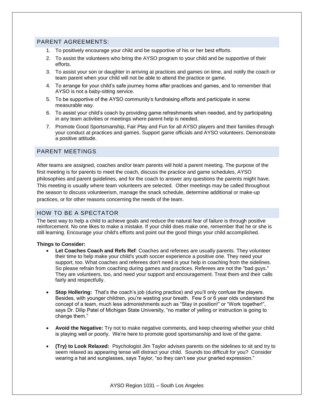# PARENT AGREEMENTS:

- 1. To positively encourage your child and be supportive of his or her best efforts.
- 2. To assist the volunteers who bring the AYSO program to your child and be supportive of their efforts.
- 3. To assist your son or daughter in arriving at practices and games on time, and notify the coach or team parent when your child will not be able to attend the practice or game.
- 4. To arrange for your child's safe journey home after practices and games, and to remember that AYSO is not a baby-sitting service.
- 5. To be supportive of the AYSO community's fundraising efforts and participate in some measurable way.
- 6. To assist your child's coach by providing game refreshments when needed, and by participating in any team activities or meetings where parent help is needed.
- 7. Promote Good Sportsmanship, Fair Play and Fun for all AYSO players and their families through your conduct at practices and games. Support game officials and AYSO volunteers. Demonstrate a positive attitude.

# PARENT MEETINGS

After teams are assigned, coaches and/or team parents will hold a parent meeting. The purpose of the first meeting is for parents to meet the coach, discuss the practice and game schedules, AYSO philosophies and parent guidelines, and for the coach to answer any questions the parents might have. This meeting is usually where team volunteers are selected. Other meetings may be called throughout the season to discuss volunteerism, manage the snack schedule, determine additional or make-up practices, or for other reasons concerning the needs of the team.

#### HOW TO BE A SPECTATOR

The best way to help a child to achieve goals and reduce the natural fear of failure is through positive reinforcement. No one likes to make a mistake. If your child does make one, remember that he or she is still learning. Encourage your child's efforts and point out the good things your child accomplished.

#### **Things to Consider:**

- **Let Coaches Coach and Refs Ref**: Coaches and referees are usually parents. They volunteer their time to help make your child's youth soccer experience a positive one. They need your support, too. What coaches and referees don't need is your help in coaching from the sidelines. So please refrain from coaching during games and practices. Referees are not the "bad guys." They are volunteers, too, and need your support and encouragement. Treat them and their calls fairly and respectfully.
- **Stop Hollering:** That's the coach's job (during practice) and you'll only confuse the players. Besides, with younger children, you're wasting your breath. Few 5 or 6 year olds understand the concept of a team, much less admonishments such as "Stay in position!" or "Work together!", says Dr. Dilip Patel of Michigan State University, "no matter of yelling or instruction is going to change them."
- **Avoid the Negative:** Try not to make negative comments, and keep cheering whether your child is playing well or poorly. We're here to promote good sportsmanship and love of the game.
- **(Try) to Look Relaxed:** Psychologist Jim Taylor advises parents on the sidelines to sit and try to seem relaxed as appearing tense will distract your child. Sounds too difficult for you? Consider wearing a hat and sunglasses, says Taylor, "so they can't see your gnarled expression."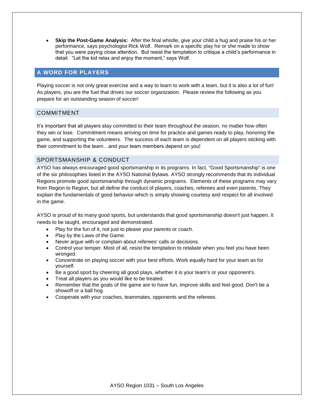**Skip the Post-Game Analysis:** After the final whistle, give your child a hug and praise his or her performance, says psychologist Rick Wolf. Remark on a specific play he or she made to show that you were paying close attention. But resist the temptation to critique a child's performance in detail. "Let the kid relax and enjoy the moment," says Wolf.

# **A WORD FOR PLAYERS**

Playing soccer is not only great exercise and a way to learn to work with a team, but it is also a lot of fun! As players, you are the fuel that drives our soccer organization. Please review the following as you prepare for an outstanding season of soccer!

### COMMITMENT

It's important that all players stay committed to their team throughout the season, no matter how often they win or lose. Commitment means arriving on time for practice and games ready to play, honoring the game, and supporting the volunteers. The success of each team is dependent on all players sticking with their commitment to the team…and your team members depend on you!

# SPORTSMANSHIP & CONDUCT

AYSO has always encouraged good sportsmanship in its programs. In fact, "Good Sportsmanship" is one of the six philosophies listed in the AYSO National Bylaws. AYSO strongly recommends that its individual Regions promote good sportsmanship through dynamic programs. Elements of these programs may vary from Region to Region, but all define the conduct of players, coaches, referees and even parents. They explain the fundamentals of good behavior-which is simply showing courtesy and respect for all involved in the game.

AYSO is proud of its many good sports, but understands that good sportsmanship doesn't just happen. It needs to be taught, encouraged and demonstrated.

- Play for the fun of it, not just to please your parents or coach.
- Play by the Laws of the Game.
- Never argue with or complain about referees' calls or decisions.
- Control your temper. Most of all, resist the temptation to retaliate when you feel you have been wronged.
- Concentrate on playing soccer with your best efforts. Work equally hard for your team as for yourself.
- Be a good sport by cheering all good plays, whether it is your team's or your opponent's.
- Treat all players as you would like to be treated.
- Remember that the goals of the game are to have fun, improve skills and feel good. Don't be a showoff or a ball hog.
- Cooperate with your coaches, teammates, opponents and the referees.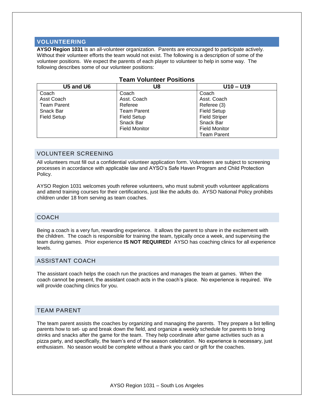# **VOLUNTEERING**

**AYSO Region 1031** is an all-volunteer organization. Parents are encouraged to participate actively. Without their volunteer efforts the team would not exist. The following is a description of some of the volunteer positions. We expect the parents of each player to volunteer to help in some way. The following describes some of our volunteer positions:

| U5 and U6          | U8                   | $U10 - U19$          |  |
|--------------------|----------------------|----------------------|--|
| Coach              | Coach                | Coach                |  |
| Asst Coach         | Asst. Coach          | Asst. Coach          |  |
| <b>Team Parent</b> | Referee              | Referee (3)          |  |
| Snack Bar          | <b>Team Parent</b>   | <b>Field Setup</b>   |  |
| <b>Field Setup</b> | Field Setup          | <b>Field Striper</b> |  |
|                    | Snack Bar            | Snack Bar            |  |
|                    | <b>Field Monitor</b> | <b>Field Monitor</b> |  |
|                    |                      | <b>Team Parent</b>   |  |

# **Team Volunteer Positions**

# VOLUNTEER SCREENING

All volunteers must fill out a confidential [volunteer application form.](http://www.ayso18.org/volunteer) Volunteers are subject to screening processes in accordance with applicable law and [AYSO's Safe Haven Program and Child Protection](http://ayso.org/Libraries/Resources/AYSO_Safe_Haven_Policies_CVPA.pdf)  [Policy.](http://ayso.org/Libraries/Resources/AYSO_Safe_Haven_Policies_CVPA.pdf)

AYSO Region 1031 welcomes youth referee volunteers, who must submit youth volunteer applications and attend training courses for their certifications, just like the adults do. AYSO National Policy prohibits children under 18 from serving as team coaches.

#### COACH

Being a coach is a very fun, rewarding experience. It allows the parent to share in the excitement with the children. The coach is responsible for training the team, typically once a week, and supervising the team during games. Prior experience **IS NOT REQUIRED!** AYSO has coaching clinics for all experience levels.

#### ASSISTANT COACH

The assistant coach helps the coach run the practices and manages the team at games. When the coach cannot be present, the assistant coach acts in the coach's place. No experience is required. We will provide coaching clinics for you.

#### TEAM PARENT

The team parent assists the coaches by organizing and managing the parents. They prepare a list telling parents how to set- up and break down the field, and organize a weekly schedule for parents to bring drinks and snacks after the game for the team. They help coordinate after game activities such as a pizza party, and specifically, the team's end of the season celebration. No experience is necessary, just enthusiasm. No season would be complete without a thank you card or gift for the coaches.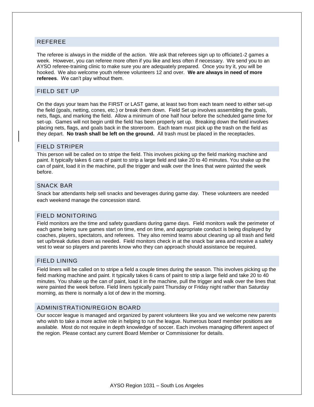#### REFEREE

The referee is always in the middle of the action. We ask that referees sign up to officiate1-2 games a week. However, you can referee more often if you like and less often if necessary. We send you to an AYSO referee-training clinic to make sure you are adequately prepared. Once you try it, you will be hooked. We also welcome youth referee volunteers 12 and over. **We are always in need of more referees**. We can't play without them.

#### FIELD SET UP

On the days your team has the FIRST or LAST game, at least two from each team need to either set-up the field (goals, netting, cones, etc.) or break them down. Field Set up involves assembling the goals, nets, flags, and marking the field. Allow a minimum of one half hour before the scheduled game time for set-up. Games will not begin until the field has been properly set up. Breaking down the field involves placing nets, flags, and goals back in the storeroom. Each team must pick up the trash on the field as they depart. **No trash shall be left on the ground.** All trash must be placed in the receptacles.

#### FIELD STRIPER

This person will be called on to stripe the field. This involves picking up the field marking machine and paint. It typically takes 6 cans of paint to strip a large field and take 20 to 40 minutes. You shake up the can of paint, load it in the machine, pull the trigger and walk over the lines that were painted the week before.

#### SNACK BAR

Snack bar attendants help sell snacks and beverages during game day. These volunteers are needed each weekend manage the concession stand.

#### FIELD MONITORING

Field monitors are the time and safety guardians during game days. Field monitors walk the perimeter of each game being sure games start on time, end on time, and appropriate conduct is being displayed by coaches, players, spectators, and referees. They also remind teams about cleaning up all trash and field set up/break duties down as needed. Field monitors check in at the snack bar area and receive a safety vest to wear so players and parents know who they can approach should assistance be required.

#### FIELD LINING

Field liners will be called on to stripe a field a couple times during the season. This involves picking up the field marking machine and paint. It typically takes 6 cans of paint to strip a large field and take 20 to 40 minutes. You shake up the can of paint, load it in the machine, pull the trigger and walk over the lines that were painted the week before. Field liners typically paint Thursday or Friday night rather than Saturday morning, as there is normally a lot of dew in the morning.

#### ADMINISTRATION/REGION BOARD

Our soccer league is managed and organized by parent volunteers like you and we welcome new parents who wish to take a more active role in helping to run the league. Numerous board member positions are available. Most do not require in depth knowledge of soccer. Each involves managing different aspect of the region. Please contact any current Board Member or Commissioner for details.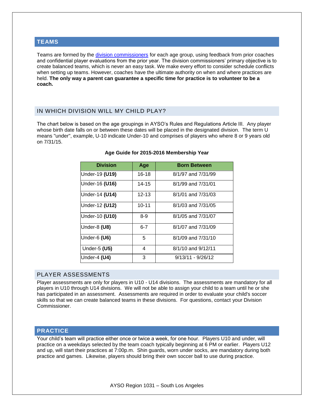#### **TEAMS**

Teams are formed by the *division commissioners* for each age group, using feedback from prior coaches and confidential player evaluations from the prior year. The division commissioners' primary objective is to create balanced teams, which is never an easy task. We make every effort to consider schedule conflicts when setting up teams. However, coaches have the ultimate authority on when and where practices are held. **The only way a parent can guarantee a specific time for practice is to [volunteer](http://www.ayso18.org/volunteer) to be a coach.**

# IN WHICH DIVISION WILL MY CHILD PLAY?

The chart below is based on the age groupings in AYSO's Rules and Regulations Article III. Any player whose birth date falls on or between these dates will be placed in the designated division. The term U means "under", example, U-10 indicate Under-10 and comprises of players who where 8 or 9 years old on 7/31/15.

| <b>Division</b> | Age       | <b>Born Between</b> |  |
|-----------------|-----------|---------------------|--|
| Under-19 (U19)  | $16 - 18$ | 8/1/97 and 7/31/99  |  |
| Under-16 (U16)  | 14-15     | 8/1/99 and 7/31/01  |  |
| Under-14 (U14)  | $12 - 13$ | 8/1/01 and 7/31/03  |  |
| Under-12 (U12)  | $10 - 11$ | 8/1/03 and 7/31/05  |  |
| Under-10 (U10)  | $8 - 9$   | 8/1/05 and 7/31/07  |  |
| Under-8 (U8)    | $6 - 7$   | 8/1/07 and 7/31/09  |  |
| Under-6 (U6)    | 5         | 8/1/09 and 7/31/10  |  |
| Under-5 (U5)    | 4         | 8/1/10 and 9/12/11  |  |
| Under-4 (U4)    | 3         | $9/13/11 - 9/26/12$ |  |

#### **Age Guide for 2015-2016 Membership Year**

#### PLAYER ASSESSMENTS

Player assessments are only for players in U10 - U14 divisions. The assessments are mandatory for all players in U10 through U14 divisions. We will not be able to assign your child to a team until he or she has participated in an assessment. Assessments are required in order to evaluate your child's soccer skills so that we can create balanced teams in these divisions. For questions, contact your Division Commissioner.

# **PRACTICE**

Your child's team will practice either once or twice a week, for one hour. Players U10 and under, will practice on a weekdays selected by the team coach typically beginning at 6 PM or earlier. Players U12 and up, will start their practices at 7:00p.m. Shin guards, worn under socks, are mandatory during both practice and games. Likewise, players should bring their own soccer ball to use during practice.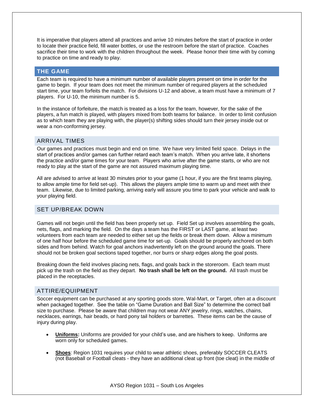It is imperative that players attend all practices and arrive 10 minutes before the start of practice in order to locate their practice field, fill water bottles, or use the restroom before the start of practice. Coaches sacrifice their time to work with the children throughout the week. Please honor their time with by coming to practice on time and ready to play.

#### **THE GAME**

Each team is required to have a minimum number of available players present on time in order for the game to begin. If your team does not meet the minimum number of required players at the scheduled start time, your team forfeits the match. For divisions U-12 and above, a team must have a minimum of 7 players. For U-10, the minimum number is 5.

In the instance of forfeiture, the match is treated as a loss for the team, however, for the sake of the players, a fun match is played, with players mixed from both teams for balance. In order to limit confusion as to which team they are playing with, the player(s) shifting sides should turn their jersey inside out or wear a non-conforming jersey.

### ARRIVAL TIMES

Our games and practices must begin and end on time. We have very limited field space. Delays in the start of practices and/or games can further retard each team's match. When you arrive late, it shortens the practice and/or game times for your team. Players who arrive after the game starts, or who are not ready to play at the start of the game are not assured maximum playing time.

All are advised to arrive at least 30 minutes prior to your game (1 hour, if you are the first teams playing, to allow ample time for field set-up). This allows the players ample time to warm up and meet with their team. Likewise, due to limited parking, arriving early will assure you time to park your vehicle and walk to your playing field.

# SET UP/BREAK DOWN

Games will not begin until the field has been properly set up. Field Set up involves assembling the goals, nets, flags, and marking the field. On the days a team has the FIRST or LAST game, at least two volunteers from each team are needed to either set up the fields or break them down. Allow a minimum of one half hour before the scheduled game time for set-up. Goals should be properly anchored on both sides and from behind. Watch for goal anchors inadvertently left on the ground around the goals. There should not be broken goal sections taped together, nor burrs or sharp edges along the goal posts.

Breaking down the field involves placing nets, flags, and goals back in the storeroom. Each team must pick up the trash on the field as they depart. **No trash shall be left on the ground.** All trash must be placed in the receptacles.

# ATTIRE/EQUIPMENT

Soccer equipment can be purchased at any sporting goods store, Wal-Mart, or Target, often at a discount when packaged together. See the table on "Game Duration and Ball Size" to determine the correct ball size to purchase. Please be aware that children may not wear ANY jewelry, rings, watches, chains, necklaces, earrings, hair beads, or hard pony tail holders or barrettes. These items can be the cause of injury during play.

- **Uniforms:** Uniforms are provided for your child's use, and are his/hers to keep. Uniforms are worn only for scheduled games.
- **Shoes**: Region 1031 requires your child to wear athletic shoes, preferably SOCCER CLEATS (not Baseball or Football cleats - they have an additional cleat up front (toe cleat) in the middle of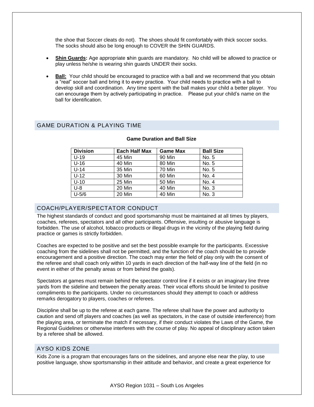the shoe that Soccer cleats do not). The shoes should fit comfortably with thick soccer socks. The socks should also be long enough to COVER the SHIN GUARDS.

- **Shin Guards:** Age appropriate **s**hin guards are mandatory. No child will be allowed to practice or play unless he/she is wearing shin guards UNDER their socks.
- **Ball:** Your child should be encouraged to practice with a ball and we recommend that you obtain a "real" soccer ball and bring it to every practice. Your child needs to practice with a ball to develop skill and coordination. Any time spent with the ball makes your child a better player. You can encourage them by actively participating in practice. Please put your child's name on the ball for identification.

# GAME DURATION & PLAYING TIME

| <b>Division</b> | <b>Each Half Max</b> | <b>Game Max</b> | <b>Ball Size</b> |
|-----------------|----------------------|-----------------|------------------|
| $U-19$          | 45 Min               | 90 Min          | No. 5            |
| $U-16$          | 40 Min               | 80 Min          | No. 5            |
| $U-14$          | 35 Min               | 70 Min          | No. 5            |
| $U-12$          | 30 Min               | 60 Min          | No. 4            |
| $U-10$          | 25 Min               | <b>50 Min</b>   | No. 4            |
| $U-8$           | 20 Min               | 40 Min          | No. 3            |
| $U-5/6$         | 20 Min               | 40 Min          | No. 3            |

#### **Game Duration and Ball Size**

# COACH/PLAYER/SPECTATOR CONDUCT

The highest standards of conduct and good sportsmanship must be maintained at all times by players, coaches, referees, spectators and all other participants. Offensive, insulting or abusive language is forbidden. The use of alcohol, tobacco products or illegal drugs in the vicinity of the playing field during practice or games is strictly forbidden.

Coaches are expected to be positive and set the best possible example for the participants. Excessive coaching from the sidelines shall not be permitted, and the function of the coach should be to provide encouragement and a positive direction. The coach may enter the field of play only with the consent of the referee and shall coach only within 10 yards in each direction of the half-way line of the field (in no event in either of the penalty areas or from behind the goals).

Spectators at games must remain behind the spectator control line if it exists or an imaginary line three yards from the sideline and between the penalty areas. Their vocal efforts should be limited to positive compliments to the participants. Under no circumstances should they attempt to coach or address remarks derogatory to players, coaches or referees.

Discipline shall be up to the referee at each game. The referee shall have the power and authority to caution and send off players and coaches (as well as spectators, in the case of outside interference) from the playing area, or terminate the match if necessary, if their conduct violates the Laws of the Game, the Regional Guidelines or otherwise interferes with the course of play. No appeal of disciplinary action taken by a referee shall be allowed.

# AYSO KIDS ZONE

Kids Zone is a program that encourages fans on the sidelines, and anyone else near the play, to use positive language, show sportsmanship in their attitude and behavior, and create a great experience for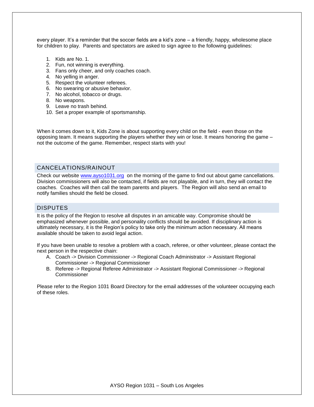every player. It's a reminder that the soccer fields are a kid's zone – a friendly, happy, wholesome place for children to play. Parents and spectators are asked to sign agree to the following guidelines:

- 1. Kids are No. 1.
- 2. Fun, not winning is everything.
- 3. Fans only cheer, and only coaches coach.
- 4. No yelling in anger.
- 5. Respect the volunteer referees.
- 6. No swearing or abusive behavior.
- 7. No alcohol, tobacco or drugs.
- 8. No weapons.
- 9. Leave no trash behind.
- 10. Set a proper example of sportsmanship.

When it comes down to it, Kids Zone is about supporting every child on the field - even those on the opposing team. It means supporting the players whether they win or lose. It means honoring the game – not the outcome of the game. Remember, respect starts with you!

# CANCELATIONS/RAINOUT

Check our website [www.ayso1031.org](http://www.ayso1031.org/) on the morning of the game to find out about game cancellations. Division commissioners will also be contacted, if fields are not playable, and in turn, they will contact the coaches. Coaches will then call the team parents and players. The Region will also send an email to notify families should the field be closed.

#### DISPUTES

It is the policy of the Region to resolve all disputes in an amicable way. Compromise should be emphasized whenever possible, and personality conflicts should be avoided. If disciplinary action is ultimately necessary, it is the Region's policy to take only the minimum action necessary. All means available should be taken to avoid legal action.

If you have been unable to resolve a problem with a coach, referee, or other volunteer, please contact the next person in the respective chain:

- A. Coach -> Division Commissioner -> Regional Coach Administrator -> Assistant Regional Commissioner -> Regional Commissioner
- B. Referee -> Regional Referee Administrator -> Assistant Regional Commissioner -> Regional **Commissioner**

Please refer to the [Region 1031 Board Directory f](http://www.ayso1031.org/about-us/board)or the email addresses of the volunteer occupying each of these roles.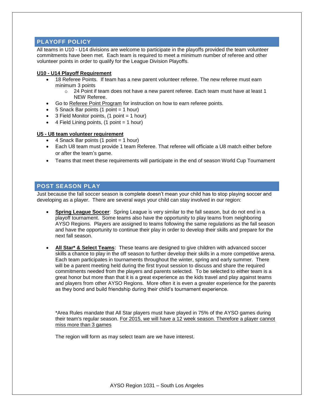# **PLAYOFF POLICY**

All teams in U10 - U14 divisions are welcome to participate in the playoffs provided the team volunteer commitments have been met. Each team is required to meet a minimum number of referee and other volunteer points in order to qualify for the League Division Playoffs.

#### **U10 - U14 Playoff Requirement**

- 18 Referee Points. If team has a new parent volunteer referee. The new referee must earn minimum 3 points
	- $\circ$  24 Point if team does not have a new parent referee. Each team must have at least 1 NEW Referee.
- Go to [Referee Point Program](http://www.ayso1031.org/referees/ref-point-summary) for instruction on how to earn referee points.
- 5 Snack Bar points (1 point = 1 hour)
- $\bullet$  3 Field Monitor points, (1 point = 1 hour)
- $\bullet$  4 Field Lining points, (1 point = 1 hour)

#### **U5 - U8 team volunteer requirement**

- 4 Snack Bar points (1 point = 1 hour)
- Each U8 team must provide 1 team Referee. That referee will officiate a U8 match either before or after the team's game.
- Teams that meet these requirements will participate in the end of season World Cup Tournament

# **POST SEASON PLAY**

Just because the fall soccer season is complete doesn't mean your child has to stop playing soccer and developing as a player. There are several ways your child can stay involved in our region:

- **Spring League Soccer:** Spring League is very similar to the fall season, but do not end in a playoff tournament. Some teams also have the opportunity to play teams from neighboring AYSO Regions. Players are assigned to teams following the same regulations as the fall season and have the opportunity to continue their play in order to develop their skills and prepare for the next fall season.
- **All Star\* & Select Teams**: These teams are designed to give children with advanced soccer skills a chance to play in the off season to further develop their skills in a more competitive arena. Each team participates in tournaments throughout the winter, spring and early summer. There will be a parent meeting held during the first tryout session to discuss and share the required commitments needed from the players and parents selected. To be selected to either team is a great honor but more than that it is a great experience as the kids travel and play against teams and players from other AYSO Regions. More often it is even a greater experience for the parents as they bond and build friendship during their child's tournament experience.

\*Area Rules mandate that All Star players must have played in 75% of the AYSO games during their team's regular season. For 2015, we will have a 12 week season. Therefore a player cannot miss more than 3 games

The region will form as may select team are we have interest.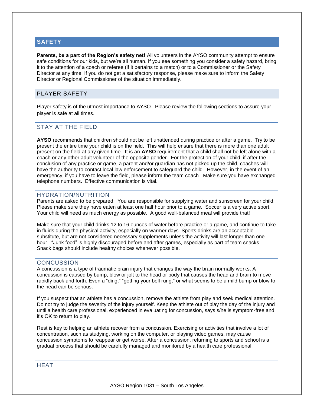### **SAFETY**

**Parents, be a part of the Region's safety net!** All volunteers in the AYSO community attempt to ensure safe conditions for our kids, but we're all human. If you see something you consider a safety hazard, bring it to the attention of a coach or referee (if it pertains to a match) or to a Commissioner or the Safety Director at any time. If you do not get a satisfactory response, please make sure to inform the Safety Director or Regional Commissioner of the situation immediately.

# PLAYER SAFETY

Player safety is of the utmost importance to AYSO. Please review the following sections to assure your player is safe at all times.

# STAY AT THE FIELD

**AYSO** recommends that children should not be left unattended during practice or after a game. Try to be present the entire time your child is on the field. This will help ensure that there is more than one adult present on the field at any given time. It is an **AYSO** requirement that a child shall not be left alone with a coach or any other adult volunteer of the opposite gender. For the protection of your child, if after the conclusion of any practice or game, a parent and/or guardian has not picked up the child, coaches will have the authority to contact local law enforcement to safeguard the child. However, in the event of an emergency, if you have to leave the field, please inform the team coach. Make sure you have exchanged telephone numbers. Effective communication is vital.

#### HYDRATION/NUTRITION

Parents are asked to be prepared. You are responsible for supplying water and sunscreen for your child. Please make sure they have eaten at least one half hour prior to a game. Soccer is a very active sport. Your child will need as much energy as possible. A good well-balanced meal will provide that!

Make sure that your child drinks 12 to 16 ounces of water before practice or a game, and continue to take in fluids during the physical activity, especially on warmer days. Sports drinks are an acceptable substitute, but are not considered necessary supplements unless the activity will last longer than one hour. "Junk food" is highly discouraged before and after games, especially as part of team snacks. Snack bags should include healthy choices whenever possible.

#### **CONCUSSION**

A concussion is a type of traumatic brain injury that changes the way the brain normally works. A concussion is caused by bump, blow or jolt to the head or body that causes the head and brain to move rapidly back and forth. Even a "ding," "getting your bell rung," or what seems to be a mild bump or blow to the head can be serious.

If you suspect that an athlete has a concussion, remove the athlete from play and seek medical attention. Do not try to judge the severity of the injury yourself. Keep the athlete out of play the day of the injury and until a health care professional, experienced in evaluating for concussion, says s/he is symptom-free and it's OK to return to play.

Rest is key to helping an athlete recover from a concussion. Exercising or activities that involve a lot of concentration, such as studying, working on the computer, or playing video games, may cause concussion symptoms to reappear or get worse. After a concussion, returning to sports and school is a gradual process that should be carefully managed and monitored by a health care professional.

# **HEAT**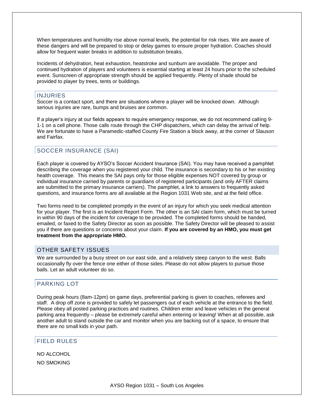When temperatures and humidity rise above normal levels, the potential for risk rises. We are aware of these dangers and will be prepared to stop or delay games to ensure proper hydration. Coaches should allow for frequent water breaks in addition to substitution breaks.

Incidents of dehydration, heat exhaustion, heatstroke and sunburn are avoidable. The proper and continued hydration of players and volunteers is essential starting at least 24 hours prior to the scheduled event. Sunscreen of appropriate strength should be applied frequently. Plenty of shade should be provided to player by trees, tents or buildings.

#### INJURIES

Soccer is a contact sport, and there are situations where a player will be knocked down. Although serious injuries are rare, bumps and bruises are common.

If a player's injury at our fields appears to require emergency response, we do not recommend calling 9- 1-1 on a cell phone. Those calls route through the CHP dispatchers, which can delay the arrival of help. We are fortunate to have a Paramedic-staffed County Fire Station a block away, at the corner of Slauson and Fairfax.

### SOCCER INSURANCE (SAI)

Each player is covered by AYSO's Soccer Accident Insurance (SAI). You may have received a pamphlet describing the coverage when you registered your child. The insurance is secondary to his or her existing health coverage. This means the SAI pays only for those eligible expenses NOT covered by group or individual insurance carried by parents or guardians of registered participants (and only AFTER claims are submitted to the primary insurance carriers). The pamphlet, a link to answers to frequently asked questions, and insurance forms are all available at the Region 1031 Web site, and at the field office.

Two forms need to be completed promptly in the event of an injury for which you seek medical attention for your player. The first is an Incident Report Form. The other is an SAI claim form, which must be turned in within 90 days of the incident for coverage to be provided. The completed forms should be handed, emailed, or faxed to the Safety Director as soon as possible. The Safety Director will be pleased to assist you if there are questions or concerns about your claim. **If you are covered by an HMO, you must get treatment from the appropriate HMO.** 

# OTHER SAFETY ISSUES

We are surrounded by a busy street on our east side, and a relatively steep canyon to the west. Balls occasionally fly over the fence one either of those sides. Please do not allow players to pursue those balls. Let an adult volunteer do so.

# PARKING LOT

During peak hours (8am-12pm) on game days, preferential parking is given to coaches, referees and staff. A drop off zone is provided to safely let passengers out of each vehicle at the entrance to the field. Please obey all posted parking practices and routines. Children enter and leave vehicles in the general parking area frequently – please be extremely careful when entering or leaving! When at all possible, ask another adult to stand outside the car and monitor when you are backing out of a space, to ensure that there are no small kids in your path.

# FIELD RULES

NO ALCOHOL NO SMOKING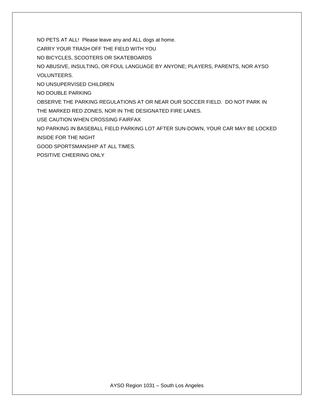NO PETS AT ALL! Please leave any and ALL dogs at home.

CARRY YOUR TRASH OFF THE FIELD WITH YOU

NO BICYCLES, SCOOTERS OR SKATEBOARDS

NO ABUSIVE, INSULTING, OR FOUL LANGUAGE BY ANYONE; PLAYERS, PARENTS, NOR AYSO VOLUNTEERS.

NO UNSUPERVISED CHILDREN

NO DOUBLE PARKING

OBSERVE THE PARKING REGULATIONS AT OR NEAR OUR SOCCER FIELD. DO NOT PARK IN THE MARKED RED ZONES, NOR IN THE DESIGNATED FIRE LANES.

USE CAUTION WHEN CROSSING FAIRFAX

NO PARKING IN BASEBALL FIELD PARKING LOT AFTER SUN-DOWN, YOUR CAR MAY BE LOCKED INSIDE FOR THE NIGHT

GOOD SPORTSMANSHIP AT ALL TIMES.

POSITIVE CHEERING ONLY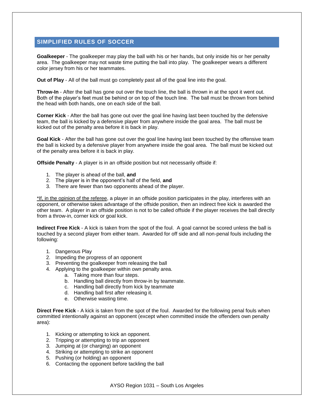# **SIMPLIFIED RULES OF SOCCER**

**Goalkeeper** - The goalkeeper may play the ball with his or her hands, but only inside his or her penalty area. The goalkeeper may not waste time putting the ball into play. The goalkeeper wears a different color jersey from his or her teammates.

**Out of Play** - All of the ball must go completely past all of the goal line into the goal.

**Throw-In** - After the ball has gone out over the touch line, the ball is thrown in at the spot it went out. Both of the player's feet must be behind or on top of the touch line. The ball must be thrown from behind the head with both hands, one on each side of the ball.

**Corner Kick** - After the ball has gone out over the goal line having last been touched by the defensive team, the ball is kicked by a defensive player from anywhere inside the goal area. The ball must be kicked out of the penalty area before it is back in play.

**Goal Kick** - After the ball has gone out over the goal line having last been touched by the offensive team the ball is kicked by a defensive player from anywhere inside the goal area. The ball must be kicked out of the penalty area before it is back in play.

**Offside Penalty** - A player is in an offside position but not necessarily offside if:

- 1. The player is ahead of the ball, **and**
- 2. The player is in the opponent's half of the field, **and**
- 3. There are fewer than two opponents ahead of the player.

\*If, in the opinion of the referee, a player in an offside position participates in the play, interferes with an opponent, or otherwise takes advantage of the offside position, then an indirect free kick is awarded the other team. A player in an offside position is not to be called offside if the player receives the ball directly from a throw-in, corner kick or goal kick.

**Indirect Free Kick** - A kick is taken from the spot of the foul. A goal cannot be scored unless the ball is touched by a second player from either team. Awarded for off side and all non-penal fouls including the following:

- 1. Dangerous Play
- 2. Impeding the progress of an opponent
- 3. Preventing the goalkeeper from releasing the ball
- 4. Applying to the goalkeeper within own penalty area.
	- a. Taking more than four steps.
	- b. Handling ball directly from throw-in by teammate.
	- c. Handling ball directly from kick by teammate
	- d. Handling ball first after releasing it.
	- e. Otherwise wasting time.

**Direct Free Kick** - A kick is taken from the spot of the foul. Awarded for the following penal fouls when committed intentionally against an opponent (except when committed inside the offenders own penalty area):

- 1. Kicking or attempting to kick an opponent.
- 2. Tripping or attempting to trip an opponent
- 3. Jumping at (or charging) an opponent
- 4. Striking or attempting to strike an opponent
- 5. Pushing (or holding) an opponent
- 6. Contacting the opponent before tackling the ball